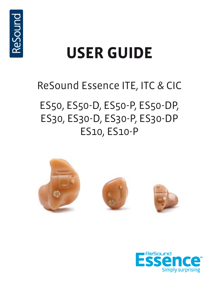

# **user guide**

# ReSound Essence ITE, ITC & CIC

# ES50, ES50-D, ES50-P, ES50-DP, ES30, ES30-D, ES30-P, ES30-DP ES10, ES10-P



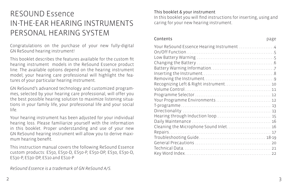# RESOUND Essence IN-THE-EAR HEARING INSTRUMENTS PERSONAL HEARING SYSTEM

Congratulations on the purchase of your new fully-digital GN ReSound hearing instrument!

This booklet describes the features available for the custom fit hearing instrument models in the ReSound Essence product line. The available options depend on the hearing instrument model; your hearing care professional will highlight the features of your particular hearing instrument.

GN ReSound's advanced technology and customized programmes, selected by your hearing care professional, will offer you the best possible hearing solution to maximize listening situations in your family life, your professional life and your social life.

Your hearing instrument has been adjusted for your individual hearing loss. Please familiarize yourself with the information in this booklet. Proper understanding and use of your new GN ReSound hearing instrument will allow you to derive maximum hearing benefit.

This instruction manual covers the following ReSound Essence custom products: ES50, ES50-D, ES50-P, ES50-DP, ES30, ES30-D, ES30-P, ES30-DP, ES10 and ES10-P

#### This booklet & your instrument

In this booklet you will find instructions for inserting, using and caring for your new hearing instrument.

#### Contents

| 11<br>× | ۹ |
|---------|---|

| Recognizing Left & Right instrument 10 |  |
|----------------------------------------|--|
|                                        |  |
|                                        |  |
| Your Programme Environments  12        |  |
|                                        |  |
|                                        |  |
|                                        |  |
|                                        |  |
| Cleaning the Microphone Sound Inlet 16 |  |
|                                        |  |
|                                        |  |
|                                        |  |
|                                        |  |
|                                        |  |
|                                        |  |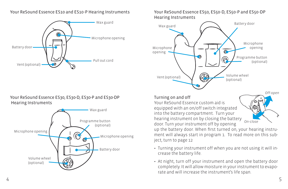#### Your ReSound Essence ES10 and ES10-P Hearing Instruments



#### Your ReSound Essence ES30, ES30-D, ES30-P and ES30-DP Hearing Instruments



Your ReSound Essence ES50, ES50-D, ES50-P and ES50-DP Hearing Instruments



#### Turning on and off

Your ReSound Essence custom aid is equipped with an on/off switch integrated into the battery compartment. Turn your hearing instrument on by closing the battery door. Turn your instrument off by opening

up the battery door. When first turned on, your hearing instrument will always start in program 1. To read more on this subject, turn to page 12

*On-close*

GI

- Turning your instrument off when you are not using it will increase the battery life.
- At night, turn off your instrument and open the battery door completely. It will allow moisture in your instrument to evaporate and will increase the instrument's life span.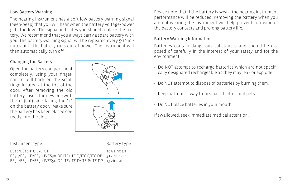#### Low Battery Warning

The hearing instrument has a soft low-battery-warning signal (beep-beep) that you will hear when the battery voltage/power gets too low. The signal indicates you should replace the battery. We recommend that you always carry a spare battery with you. The battery-warning signal will be repeated every 5-10 minutes until the battery runs out of power. The instrument will then automatically turn off.

#### Changing the Battery

Open the battery compartment completely, using your fingernail to pull back on the small ridge located at the top of the door. After removing the old battery, insert the new one with the"+" (flat) side facing the "+" on the battery door. Make sure the battery has been placed correctly into the slot.





Instrument type **Battery** type

ES10/ES10-P CIC/CIC P 10A zinc-air ES30/ES30-D/ES30-P/ES30-DP ITC/ITC-D/ITC-P/ITC-DP 312 zinc-air ES50/ES50-D/ES50-P/ES50-DP ITE/ITE-D/ITE-P/ITE-DP 13 zinc-air

Please note that if the battery is weak, the hearing instrument performance will be reduced. Removing the battery when you are not wearing the instrument will help prevent corrosion of the battery contacts and prolong battery life.

#### Battery Warning Information

Batteries contain dangerous substances and should be disposed of carefully in the interest of your safety and for the environment.

- Do NOT attempt to recharge batteries which are not specifically designated rechargeable as they may leak or explode.
- Do NOT attempt to dispose of batteries by burning them.
- Keep batteries away from small children and pets.
- Do NOT place batteries in your mouth.

If swallowed, seek immediate medical attention.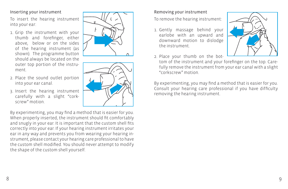#### Inserting your instrument

To insert the hearing instrument into your ear:

- 1. Grip the instrument with your thumb and forefinger, either above, below or on the sides of the hearing instrument (as shown). The programme button should always be located on the outer top portion of the instrument.
- 2. Place the sound outlet portion into your ear canal.
- 3. Insert the hearing instrument carefully with a slight "corkscrew" motion.

By experimenting, you may find a method that is easier for you. When properly inserted, the instrument should fit comfortably and snugly in your ear. It is important that the custom shell fits correctly into your ear. If your hearing instrument irritates your ear in any way and prevents you from wearing your hearing instrument, please contact your hearing care professional to have the custom shell modified. You should never attempt to modify the shape of the custom shell yourself.





### Removing your instrument

To remove the hearing instrument:

- 1. Gently massage behind your earlobe with an upward and downward motion to dislodge the instrument.
- 2. Place your thumb on the bot-
- tom of the instrument and your forefinger on the top. Carefully remove the instrument from your ear canal with a slight "corkscrew" motion.

By experimenting, you may find a method that is easier for you. Consult your hearing care professional if you have difficulty removing the hearing instrument.

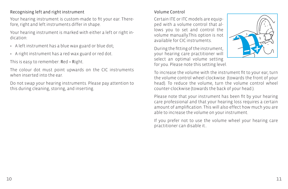### Recognising left and right instrument

Your hearing instrument is custom-made to fit your ear. Therefore, right and left instruments differ in shape.

Your hearing instrument is marked with either a left or right indication:

- A left instrument has a blue wax guard or blue dot;
- A right instrument has a red wax guard or red dot.

This is easy to remember: Red = Right.

The colour dot must point upwards on the CIC instruments when inserted into the ear.

Do not swap your hearing instruments. Please pay attention to this during cleaning, storing, and inserting.

### Volume Control

Certain ITE or ITC models are equipped with a volume control that allows you to set and control the volume manually.This option is not available for CIC instruments.

During the fitting of the instrument, your hearing care practitioner will select an optimal volume setting for you. Please note this setting level.



To increase the volume with the instrument fit to your ear, turn the volume control wheel clockwise (towards the front of your head). To reduce the volume, turn the volume control wheel counter-clockwise (towards the back of your head.).

Please note that your instrument has been fit by your hearing care professional and that your hearing loss requires a certain amount of amplification. This will also effect how much you are able to increase the volume on your instrument.

If you prefer not to use the volume wheel your hearing care practitioner can disable it..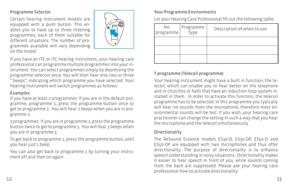#### Programme Selector

Certain hearing instrument models are equipped with a push button. This enables you to have up to three listening programmes, each of them suitable for different situations. The number of programmes available will vary depending on the model.



If you have an ITE or ITC hearing instrument, your hearing care professional can programme multiple programmes into your instrument. You can select programmes simply by depressing the programme selector once. You will then hear one, two or three " beeps", indicating which programme you have selected. Your hearing instrument will switch programmes as follows:

#### Examples:

If you have at least 2 programmes: If you are in the default programme, programme 1, press the programme button once to get to programme 2. You will hear 2 beeps when you are in programme 2.

3 programmes: If you are in programme 1, press the programme button twice to get to programme 3. You will hear 3 beeps when you are in programme 3.

To get back to programme 1, press the programme button, until you hear just 1 beep.

You can also get back to programme 1 by turning your instrument off and then on again.

### Your Programme Environments

Let your Hearing Care Professional fill out the following table:

| No.<br>programme | Programme<br>Type | Description of when to use |
|------------------|-------------------|----------------------------|
|                  |                   |                            |
|                  |                   |                            |
|                  |                   |                            |

## T-programme (Telecoil programme)

Your hearing instrument might have a built in function, the telecoil, which can enable you to hear better on the telephone and in churches or halls that have an induction loop system installed in them. In order to activate this function, the telecoil programme has to be selected. In this programme you typically will hear no sounds from the microphone, therefore most environmental sounds will be lost. If you wish, your hearing care practitioner can change the setting in such a way that you hear the microphone and the telecoil simultaneously.

### Directionality

The ReSound Essence models ES30-D, ES30-DP, ES50-D and ES50-DP are equipped with two microphones and thus offer directionality. The purpose of directionality is to enhance speech understanding in noisy situations. Directionality makes it easier to hear speech in front of you, while sounds coming from the back are suppressed. Please ask your hearing care professional how to activate directionality.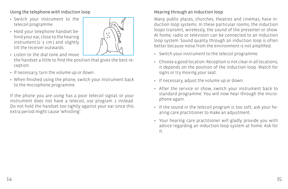Using the telephone with induction loop.

- Switch your instrument to the telecoil programme.
- Hold your telephone handset behind your ear, close to the hearing instrument (2- 3 cm.) and slightly tilt the receiver outwards.



- Listen to the dial tone and move the handset a little to find the position that gives the best reception.
- If necessary, turn the volume up or down.
- When finished using the phone, switch your instrument back to the microphone programme.

If the phone you are using has a poor telecoil signal, or your instrument does not have a telecoil, use program 1 instead. Do not hold the handset too tightly against your ear since this extra period might cause 'whistling'.

# Hearing through an induction loop

Many public places, churches, theatres and cinemas, have induction loop systems. In these particular rooms, the induction loops transmit, wirelessly, the sound of the presenter or show. At home, radio or television can be connected to an induction loop system. Sound quality through an induction loop is often better because noise from the environment is not amplified.

- Switch your instrument to the telecoil programme.
- Choose a good location. Reception is not clear in all locations; it depends on the position of the induction loop. Watch for signs or try moving your seat.
- If necessary, adjust the volume up or down.
- After the service or show, switch your instrument back to standard programme. You will now hear through the microphone again.
- If the sound in the telecoil program is too soft, ask your hearing care practitioner to make an adjustment.
- Your hearing care practitioner will gladly provide you with advice regarding an induction loop system at home. Ask for it.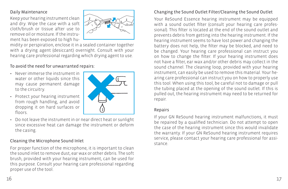#### Daily Maintenance

Keep your hearing instrument clean and dry. Wipe the case with a soft cloth/brush or tissue after use to remove oil or moisture. If the instrument has been exposed to high hu-



midity or perspiration, enclose it in a sealed container together with a drying agent (desiccant) overnight. Consult with your hearing care professional regarding which drying agent to use.

#### To avoid the need for unwarranted repairs:

- Never immerse the instrument in water or other liquids since this may cause permanent damage to the circuitry.
- Protect your hearing instrument from rough handling, and avoid dropping it on hard surfaces or floors.



• Do not leave the instrument in or near direct heat or sunlight since excessive heat can damage the instrument or deform the casing.

#### Cleaning the Microphone Sound Inlet

For proper function of the microphone, it is important to clean the sound inlet to remove dust, ear wax or other debris. The soft brush, provided with your hearing instrument, can be used for this purpose. Consult your hearing care professional regarding proper use of the tool.

#### Changing the Sound Outlet Filter/Cleaning the Sound Outlet

Your ReSound Essence hearing instrument may be equipped with a sound outlet filter (consult your hearing care professional). This filter is located at the end of the sound outlet and prevents debris from getting into the hearing instrument. If the hearing instrument seems to have lost power and changing the battery does not help, the filter may be blocked, and need to be changed. Your hearing care professional can instruct you on how to change the filter. If your hearing instrument does not have a filter, ear wax and/or other debris may collect in the sound channel. The cleaning loop, provided with your hearing instrument, can easily be used to remove this material. Your hearing care professional can instruct you on how to properly use this tool. When using this tool, be careful not to damage or pull the tubing placed at the opening of the sound outlet. If this is pulled out, the hearing instrument may need to be returned for repair.

#### Repairs

If your GN ReSound hearing instrument malfunctions, it must be repaired by a qualified technician. Do not attempt to open the case of the hearing instrument since this would invalidate the warranty. If your GN ReSound hearing instrument requires service, please contact your hearing care professional for assistance.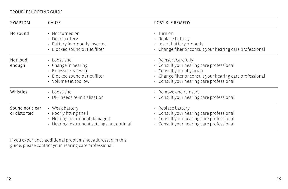#### TROUBLESHOOTING GUIDE

| <b>SYMPTOM</b>                  | CAUSE                                                                                                                      | <b>POSSIBLE REMEDY</b>                                                                                                                                                                                |
|---------------------------------|----------------------------------------------------------------------------------------------------------------------------|-------------------------------------------------------------------------------------------------------------------------------------------------------------------------------------------------------|
| No sound                        | • Not turned on<br>• Dead battery<br>• Battery improperly inserted<br>· Blocked sound outlet filter                        | $\cdot$ Turn on<br>• Replace battery<br>• Insert battery properly<br>• Change filter or consult your hearing care professional                                                                        |
| Not loud<br>enough              | • Loose shell<br>• Change in hearing<br>$\cdot$ Excessive ear wax<br>• Blocked sound outlet filter<br>• Volume set too low | • Reinsert carefully<br>• Consult your hearing care professional<br>• Consult your physician<br>• Change filter or consult your hearing care professional<br>• Consult your hearing care professional |
| Whistles                        | • Loose shell<br>• DFS needs re-initialization                                                                             | • Remove and reinsert<br>• Consult your hearing care professional                                                                                                                                     |
| Sound not clear<br>or distorted | • Weak battery<br>• Poorly fitting shell<br>• Hearing instrument damaged<br>• Hearing instrument settings not optimal      | • Replace battery<br>• Consult your hearing care professional<br>• Consult your hearing care professional<br>• Consult your hearing care professional                                                 |

If you experience additional problems not addressed in this guide, please contact your hearing care professional.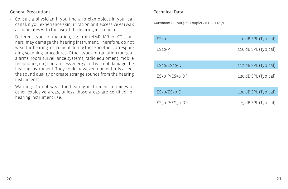#### General Precautions

- Consult a physician if you find a foreign object in your ear canal, if you experience skin irritation or if excessive earwax accumulates with the use of the hearing instrument.
- Different types of radiation, e.g. from NMR, MRI or CT scanners, may damage the hearing instrument. Therefore, do not wear the hearing instrument during these or other corresponding scanning procedures. Other types of radiation (burglar alarms, room surveillance systems, radio equipment, mobile telephones, etc) contain less energy and will not damage the hearing instrument. They could however momentarily affect the sound quality or create strange sounds from the hearing instruments.
- Warning: Do not wear the hearing instrument in mines or other explosive areas, unless those areas are certified for hearing instrument use.

#### Technical Data

Maximum Output (2cc Coupler / IEC 60118-7)

| <b>FS10</b>    | 110 dB SPL (Typical) |
|----------------|----------------------|
| $FS10-P$       | 116 dB SPL (Typical) |
| ES30/ES30-D    | 112 dB SPL (Typical) |
| ES30-P/ES30-DP | 120 dB SPL (Typical) |
| ES50/ES50-D    | 120 dB SPL (Typical) |
| ES50-P/ES50-DP | 125 dB SPL (Typical) |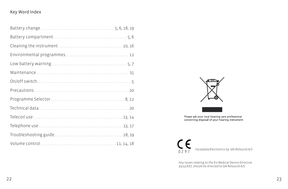#### Key Word Index



Please ask your local hearing care professional<br>concerning disposal of your hearing instrument



Any issues relating to the EU Medical Device Directive 93/42/EEC should be directed to GN ReSound A/S.